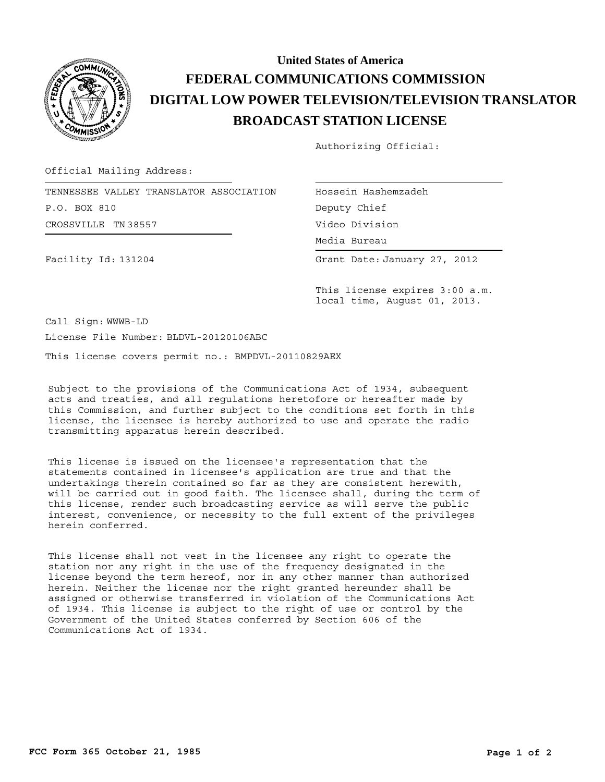

## **BROADCAST STATION LICENSE DIGITAL LOW POWER TELEVISION/TELEVISION TRANSLATOR FEDERAL COMMUNICATIONS COMMISSION United States of America**

Authorizing Official:

Official Mailing Address:

Facility Id: 131204

CROSSVILLE TN 38557 TENNESSEE VALLEY TRANSLATOR ASSOCIATION P.O. BOX 810

Hossein Hashemzadeh Deputy Chief Video Division

Media Bureau Media Bureau

Grant Date: January 27, 2012

This license expires 3:00 a.m. local time, August 01, 2013.

Call Sign: WWWB-LD License File Number: BLDVL-20120106ABC

This license covers permit no.: BMPDVL-20110829AEX

Subject to the provisions of the Communications Act of 1934, subsequent acts and treaties, and all regulations heretofore or hereafter made by this Commission, and further subject to the conditions set forth in this license, the licensee is hereby authorized to use and operate the radio transmitting apparatus herein described.

This license is issued on the licensee's representation that the statements contained in licensee's application are true and that the undertakings therein contained so far as they are consistent herewith, will be carried out in good faith. The licensee shall, during the term of this license, render such broadcasting service as will serve the public interest, convenience, or necessity to the full extent of the privileges herein conferred.

This license shall not vest in the licensee any right to operate the station nor any right in the use of the frequency designated in the license beyond the term hereof, nor in any other manner than authorized herein. Neither the license nor the right granted hereunder shall be assigned or otherwise transferred in violation of the Communications Act of 1934. This license is subject to the right of use or control by the Government of the United States conferred by Section 606 of the Communications Act of 1934.